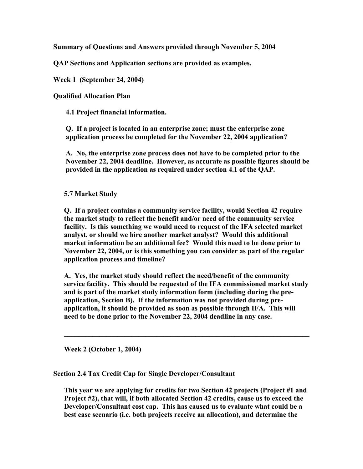**Summary of Questions and Answers provided through November 5, 2004** 

**QAP Sections and Application sections are provided as examples.** 

**Week 1 (September 24, 2004)** 

**Qualified Allocation Plan** 

**4.1 Project financial information.** 

**Q. If a project is located in an enterprise zone; must the enterprise zone application process be completed for the November 22, 2004 application?** 

**A. No, the enterprise zone process does not have to be completed prior to the November 22, 2004 deadline. However, as accurate as possible figures should be provided in the application as required under section 4.1 of the QAP.** 

## **5.7 Market Study**

**Q. If a project contains a community service facility, would Section 42 require the market study to reflect the benefit and/or need of the community service facility. Is this something we would need to request of the IFA selected market analyst, or should we hire another market analyst? Would this additional market information be an additional fee? Would this need to be done prior to November 22, 2004, or is this something you can consider as part of the regular application process and timeline?** 

**A. Yes, the market study should reflect the need/benefit of the community service facility. This should be requested of the IFA commissioned market study and is part of the market study information form (including during the preapplication, Section B). If the information was not provided during preapplication, it should be provided as soon as possible through IFA. This will need to be done prior to the November 22, 2004 deadline in any case.** 

 $\mathcal{L} = \{ \mathcal{L} \mathcal{L} \mathcal{L} \mathcal{L} \mathcal{L} \mathcal{L} \mathcal{L} \mathcal{L} \mathcal{L} \mathcal{L} \mathcal{L} \mathcal{L} \mathcal{L} \mathcal{L} \mathcal{L} \mathcal{L} \mathcal{L} \mathcal{L} \mathcal{L} \mathcal{L} \mathcal{L} \mathcal{L} \mathcal{L} \mathcal{L} \mathcal{L} \mathcal{L} \mathcal{L} \mathcal{L} \mathcal{L} \mathcal{L} \mathcal{L} \mathcal{L} \mathcal{L} \mathcal{L} \mathcal{L} \$ 

**Week 2 (October 1, 2004)** 

**Section 2.4 Tax Credit Cap for Single Developer/Consultant** 

**This year we are applying for credits for two Section 42 projects (Project #1 and Project #2), that will, if both allocated Section 42 credits, cause us to exceed the Developer/Consultant cost cap. This has caused us to evaluate what could be a best case scenario (i.e. both projects receive an allocation), and determine the**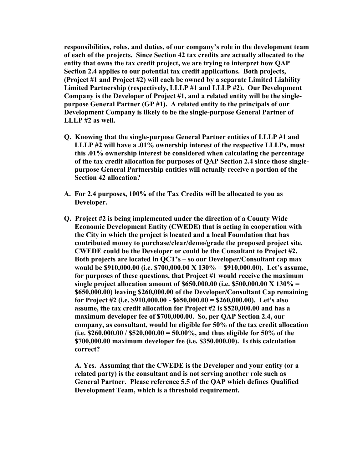**responsibilities, roles, and duties, of our company's role in the development team of each of the projects. Since Section 42 tax credits are actually allocated to the entity that owns the tax credit project, we are trying to interpret how QAP Section 2.4 applies to our potential tax credit applications. Both projects, (Project #1 and Project #2) will each be owned by a separate Limited Liability Limited Partnership (respectively, LLLP #1 and LLLP #2). Our Development Company is the Developer of Project #1, and a related entity will be the singlepurpose General Partner (GP #1). A related entity to the principals of our Development Company is likely to be the single-purpose General Partner of LLLP #2 as well.** 

- **Q. Knowing that the single-purpose General Partner entities of LLLP #1 and LLLP #2 will have a .01% ownership interest of the respective LLLPs, must this .01% ownership interest be considered when calculating the percentage of the tax credit allocation for purposes of QAP Section 2.4 since those singlepurpose General Partnership entities will actually receive a portion of the Section 42 allocation?**
- **A. For 2.4 purposes, 100% of the Tax Credits will be allocated to you as Developer.**
- **Q. Project #2 is being implemented under the direction of a County Wide Economic Development Entity (CWEDE) that is acting in cooperation with the City in which the project is located and a local Foundation that has contributed money to purchase/clear/demo/grade the proposed project site. CWEDE could be the Developer or could be the Consultant to Project #2. Both projects are located in QCT's – so our Developer/Consultant cap max would be \$910,000.00 (i.e. \$700,000.00 X 130% = \$910,000.00). Let's assume, for purposes of these questions, that Project #1 would receive the maximum single project allocation amount of \$650,000.00 (i.e. \$500,000.00 X 130% = \$650,000.00) leaving \$260,000.00 of the Developer/Consultant Cap remaining for Project #2 (i.e. \$910,000.00 - \$650,000.00 = \$260,000.00). Let's also assume, the tax credit allocation for Project #2 is \$520,000.00 and has a maximum developer fee of \$700,000.00. So, per QAP Section 2.4, our company, as consultant, would be eligible for 50% of the tax credit allocation (i.e. \$260,000.00 / \$520,000.00 = 50.00%, and thus eligible for 50% of the \$700,000.00 maximum developer fee (i.e. \$350,000.00). Is this calculation correct?**

 **A. Yes. Assuming that the CWEDE is the Developer and your entity (or a related party) is the consultant and is not serving another role such as General Partner. Please reference 5.5 of the QAP which defines Qualified Development Team, which is a threshold requirement.**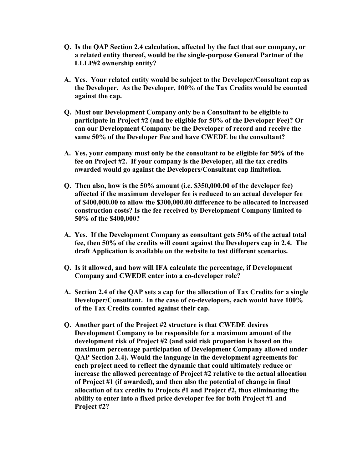- **Q. Is the QAP Section 2.4 calculation, affected by the fact that our company, or a related entity thereof, would be the single-purpose General Partner of the LLLP#2 ownership entity?**
- **A. Yes. Your related entity would be subject to the Developer/Consultant cap as the Developer. As the Developer, 100% of the Tax Credits would be counted against the cap.**
- **Q. Must our Development Company only be a Consultant to be eligible to participate in Project #2 (and be eligible for 50% of the Developer Fee)? Or can our Development Company be the Developer of record and receive the same 50% of the Developer Fee and have CWEDE be the consultant?**
- **A. Yes, your company must only be the consultant to be eligible for 50% of the fee on Project #2. If your company is the Developer, all the tax credits awarded would go against the Developers/Consultant cap limitation.**
- **Q. Then also, how is the 50% amount (i.e. \$350,000.00 of the developer fee) affected if the maximum developer fee is reduced to an actual developer fee of \$400,000.00 to allow the \$300,000.00 difference to be allocated to increased construction costs? Is the fee received by Development Company limited to 50% of the \$400,000?**
- **A. Yes. If the Development Company as consultant gets 50% of the actual total fee, then 50% of the credits will count against the Developers cap in 2.4. The draft Application is available on the website to test different scenarios.**
- **Q. Is it allowed, and how will IFA calculate the percentage, if Development Company and CWEDE enter into a co-developer role?**
- **A. Section 2.4 of the QAP sets a cap for the allocation of Tax Credits for a single Developer/Consultant. In the case of co-developers, each would have 100% of the Tax Credits counted against their cap.**
- **Q. Another part of the Project #2 structure is that CWEDE desires Development Company to be responsible for a maximum amount of the development risk of Project #2 (and said risk proportion is based on the maximum percentage participation of Development Company allowed under QAP Section 2.4). Would the language in the development agreements for each project need to reflect the dynamic that could ultimately reduce or increase the allowed percentage of Project #2 relative to the actual allocation of Project #1 (if awarded), and then also the potential of change in final allocation of tax credits to Projects #1 and Project #2, thus eliminating the ability to enter into a fixed price developer fee for both Project #1 and Project #2?**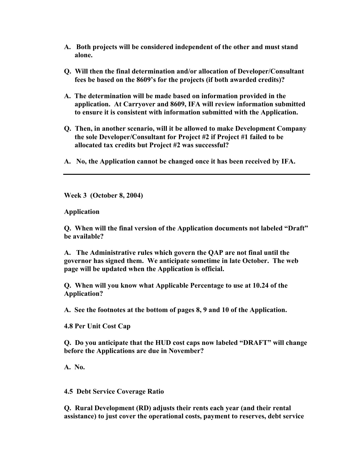- **A. Both projects will be considered independent of the other and must stand alone.**
- **Q. Will then the final determination and/or allocation of Developer/Consultant fees be based on the 8609's for the projects (if both awarded credits)?**
- **A. The determination will be made based on information provided in the application. At Carryover and 8609, IFA will review information submitted to ensure it is consistent with information submitted with the Application.**
- **Q. Then, in another scenario, will it be allowed to make Development Company the sole Developer/Consultant for Project #2 if Project #1 failed to be allocated tax credits but Project #2 was successful?**
- **A. No, the Application cannot be changed once it has been received by IFA.**

**Week 3 (October 8, 2004)** 

**Application** 

**Q. When will the final version of the Application documents not labeled "Draft" be available?** 

**A. The Administrative rules which govern the QAP are not final until the governor has signed them. We anticipate sometime in late October. The web page will be updated when the Application is official.** 

**Q. When will you know what Applicable Percentage to use at 10.24 of the Application?** 

**A. See the footnotes at the bottom of pages 8, 9 and 10 of the Application.** 

**4.8 Per Unit Cost Cap** 

**Q. Do you anticipate that the HUD cost caps now labeled "DRAFT" will change before the Applications are due in November?** 

**A. No.** 

**4.5 Debt Service Coverage Ratio** 

**Q. Rural Development (RD) adjusts their rents each year (and their rental assistance) to just cover the operational costs, payment to reserves, debt service**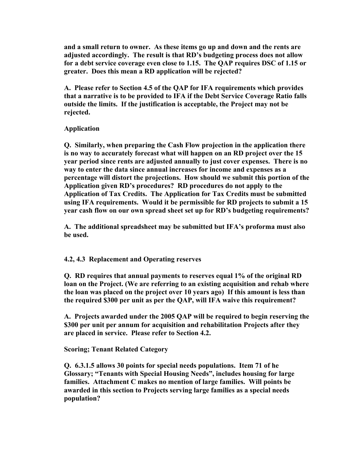**and a small return to owner. As these items go up and down and the rents are adjusted accordingly. The result is that RD's budgeting process does not allow for a debt service coverage even close to 1.15. The QAP requires DSC of 1.15 or greater. Does this mean a RD application will be rejected?** 

**A. Please refer to Section 4.5 of the QAP for IFA requirements which provides that a narrative is to be provided to IFA if the Debt Service Coverage Ratio falls outside the limits. If the justification is acceptable, the Project may not be rejected.** 

## **Application**

**Q. Similarly, when preparing the Cash Flow projection in the application there is no way to accurately forecast what will happen on an RD project over the 15 year period since rents are adjusted annually to just cover expenses. There is no way to enter the data since annual increases for income and expenses as a percentage will distort the projections. How should we submit this portion of the Application given RD's procedures? RD procedures do not apply to the Application of Tax Credits. The Application for Tax Credits must be submitted using IFA requirements. Would it be permissible for RD projects to submit a 15 year cash flow on our own spread sheet set up for RD's budgeting requirements?** 

**A. The additional spreadsheet may be submitted but IFA's proforma must also be used.** 

## **4.2, 4.3 Replacement and Operating reserves**

**Q. RD requires that annual payments to reserves equal 1% of the original RD loan on the Project. (We are referring to an existing acquisition and rehab where the loan was placed on the project over 10 years ago) If this amount is less than the required \$300 per unit as per the QAP, will IFA waive this requirement?** 

**A. Projects awarded under the 2005 QAP will be required to begin reserving the \$300 per unit per annum for acquisition and rehabilitation Projects after they are placed in service. Please refer to Section 4.2.** 

## **Scoring; Tenant Related Category**

**Q. 6.3.1.5 allows 30 points for special needs populations. Item 71 of he Glossary; "Tenants with Special Housing Needs", includes housing for large families. Attachment C makes no mention of large families. Will points be awarded in this section to Projects serving large families as a special needs population?**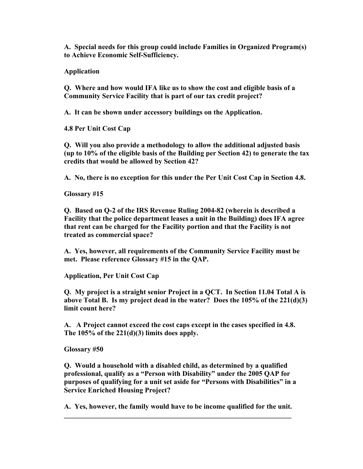**A. Special needs for this group could include Families in Organized Program(s) to Achieve Economic Self-Sufficiency.** 

**Application** 

**Q. Where and how would IFA like us to show the cost and eligible basis of a Community Service Facility that is part of our tax credit project?** 

**A. It can be shown under accessory buildings on the Application.** 

**4.8 Per Unit Cost Cap** 

**Q. Will you also provide a methodology to allow the additional adjusted basis (up to 10% of the eligible basis of the Building per Section 42) to generate the tax credits that would be allowed by Section 42?** 

**A. No, there is no exception for this under the Per Unit Cost Cap in Section 4.8.** 

**Glossary #15** 

**Q. Based on Q-2 of the IRS Revenue Ruling 2004-82 (wherein is described a Facility that the police department leases a unit in the Building) does IFA agree that rent can be charged for the Facility portion and that the Facility is not treated as commercial space?** 

**A. Yes, however, all requirements of the Community Service Facility must be met. Please reference Glossary #15 in the QAP.** 

**Application, Per Unit Cost Cap** 

**Q. My project is a straight senior Project in a QCT. In Section 11.04 Total A is above Total B. Is my project dead in the water? Does the 105% of the 221(d)(3) limit count here?** 

**A. A Project cannot exceed the cost caps except in the cases specified in 4.8. The 105% of the 221(d)(3) limits does apply.** 

**Glossary #50** 

**Q. Would a household with a disabled child, as determined by a qualified professional, qualify as a "Person with Disability" under the 2005 QAP for purposes of qualifying for a unit set aside for "Persons with Disabilities" in a Service Enriched Housing Project?** 

**A. Yes, however, the family would have to be income qualified for the unit.**   $\mathcal{L}_\mathcal{L} = \{ \mathcal{L}_\mathcal{L} = \{ \mathcal{L}_\mathcal{L} = \{ \mathcal{L}_\mathcal{L} = \{ \mathcal{L}_\mathcal{L} = \{ \mathcal{L}_\mathcal{L} = \{ \mathcal{L}_\mathcal{L} = \{ \mathcal{L}_\mathcal{L} = \{ \mathcal{L}_\mathcal{L} = \{ \mathcal{L}_\mathcal{L} = \{ \mathcal{L}_\mathcal{L} = \{ \mathcal{L}_\mathcal{L} = \{ \mathcal{L}_\mathcal{L} = \{ \mathcal{L}_\mathcal{L} = \{ \mathcal{L}_\mathcal{$